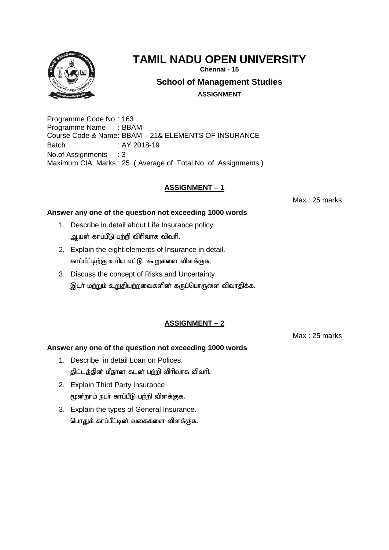

**Chennai - 15**

**School of Management Studies**

**ASSIGNMENT**

Programme Code No : 163 Programme Name : BBAM Course Code & Name: BBAM – 21& ELEMENTS OF INSURANCE Batch : AY 2018-19 No.of Assignments : 3 Maximum CIA Marks : 25 ( Average of Total No. of Assignments )

## **ASSIGNMENT – 1**

Max : 25 marks

#### **Answer any one of the question not exceeding 1000 words**

- 1. Describe in detail about Life Insurance policy. ஆயள் காப்பீடு பற்றி விரிவாக விவரி.
- 2. Explain the eight elements of Insurance in detail. காப்பீட்டிற்கு உரிய எட்டு கூறுகளை விளக்குக.
- 3. Discuss the concept of Risks and Uncertainty. இடர் மற்றும் உறுதியற்றவைகளின் கருப்பொருளை விவாதிக்க.

# **ASSIGNMENT – 2**

Max : 25 marks

- 1. Describe in detail Loan on Polices. திட்டத்தின் மீதான கடன் பற்றி விரிவாக விவரி.
- 2. Explain Third Party Insurance மூன்றாம் நபர் காப்பீடு பற்றி விளக்குக.
- 3. Explain the types of General Insurance. பொதுக் காப்பீட்டின் வகைகளை விளக்குக.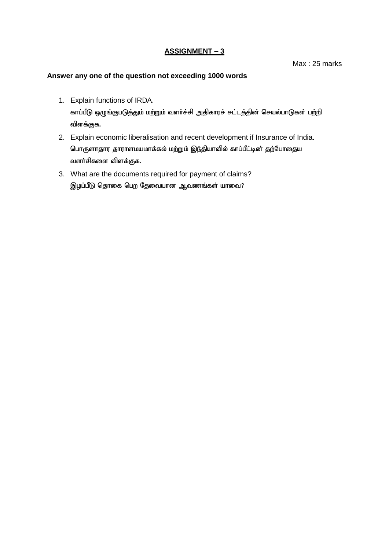Max : 25 marks

- 1. Explain functions of IRDA. காப்பீடு ஒழுங்குபடுத்தும் மற்றும் வளர்ச்சி அதிகாரச் சட்டத்தின் செயல்பாடுகள் பற்றி விளக்குக.
- 2. Explain economic liberalisation and recent development if Insurance of India. பொருளாதார தாராளமயமாக்கல் மற்றும் இந்தியாவில் காப்பீட்டின் தற்போதைய வளா்சிகளை விளக்குக.
- 3. What are the documents required for payment of claims? இழப்பீடு தொகை பெற தேவையான ஆவணங்கள் யாவை?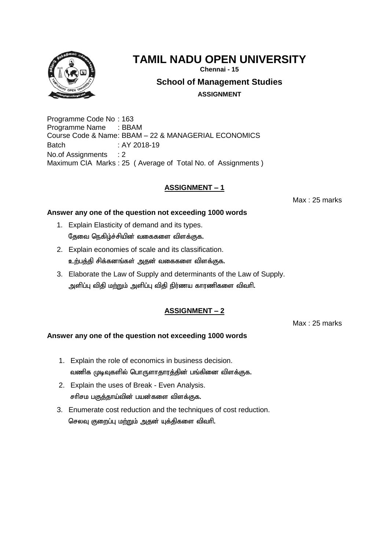

**Chennai - 15**

**School of Management Studies**

**ASSIGNMENT**

Programme Code No : 163 Programme Name : BBAM Course Code & Name: BBAM – 22 & MANAGERIAL ECONOMICS Batch : AY 2018-19 No.of Assignments : 2 Maximum CIA Marks : 25 ( Average of Total No. of Assignments )

## **ASSIGNMENT – 1**

Max : 25 marks

#### **Answer any one of the question not exceeding 1000 words**

- 1. Explain Elasticity of demand and its types. தேவை நெகிழ்ச்சியின் வகைகளை விளக்குக.
- 2. Explain economies of scale and its classification. உற்பத்தி சிக்கனங்கள் அதன் வகைகளை விளக்குக.
- 3. Elaborate the Law of Supply and determinants of the Law of Supply. அளிப்பு விதி மற்றும் அளிப்பு விதி நிர்ணய காரணிகளை விவரி.

# **ASSIGNMENT – 2**

Max : 25 marks

- 1. Explain the role of economics in business decision. வணிக முடிவுகளில் பொருளாதாரத்தின் பங்கினை விளக்குக.
- 2. Explain the uses of Break Even Analysis. சரிசம பகுத்தாய்வின் பயன்களை விளக்குக.
- 3. Enumerate cost reduction and the techniques of cost reduction. செலவு குறைப்பு மற்றும் அதன் யுக்திகளை விவரி.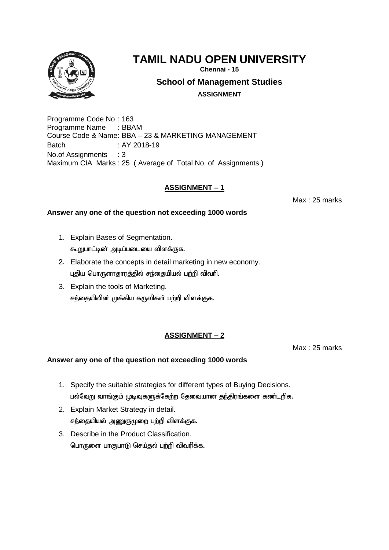

**Chennai - 15**

**School of Management Studies**

**ASSIGNMENT**

Programme Code No : 163 Programme Name : BBAM Course Code & Name: BBA – 23 & MARKETING MANAGEMENT Batch : AY 2018-19 No.of Assignments : 3 Maximum CIA Marks : 25 ( Average of Total No. of Assignments )

## **ASSIGNMENT – 1**

Max : 25 marks

#### **Answer any one of the question not exceeding 1000 words**

- 1. Explain Bases of Segmentation. கூறுபாட்டின் அடிப்படையை விளக்குக.
- 2. Elaborate the concepts in detail marketing in new economy. புதிய பொருளாதாரத்தில் சந்தையியல் பற்றி விவரி.
- 3. Explain the tools of Marketing. சந்தையிலின் முக்கிய கருவிகள் பற்றி விளக்குக.

# **ASSIGNMENT – 2**

Max : 25 marks

- 1. Specify the suitable strategies for different types of Buying Decisions. பல்வேறு வாங்கும் முடிவுகளுக்கேற்ற தேவையான தந்திரங்களை கண்டறிக.
- 2. Explain Market Strategy in detail. சந்தையியல் அணுகுமுறை பற்றி விளக்குக.
- 3. Describe in the Product Classification. பொருளை பாகுபாடு செய்தல் பற்றி விவரிக்க.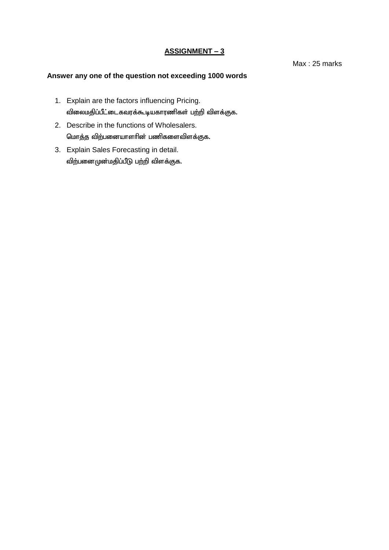Max : 25 marks

- 1. Explain are the factors influencing Pricing. விலைமதிப்பீட்டைகவரக்கூடியகாரணிகள் பற்றி விளக்குக.
- 2. Describe in the functions of Wholesalers. மொத்த விற்பனையாளரின் பணிகளைவிளக்குக.
- 3. Explain Sales Forecasting in detail. விற்பனைமுன்மதிப்பீடு பற்றி விளக்குக.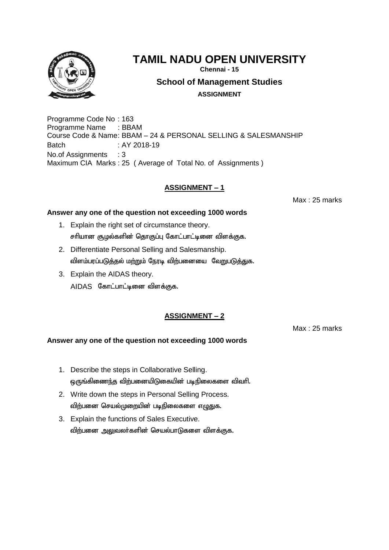

**Chennai - 15**

**School of Management Studies**

**ASSIGNMENT**

Programme Code No : 163 Programme Name : BBAM Course Code & Name: BBAM – 24 & PERSONAL SELLING & SALESMANSHIP Batch : AY 2018-19 No.of Assignments : 3 Maximum CIA Marks : 25 ( Average of Total No. of Assignments )

## **ASSIGNMENT – 1**

Max : 25 marks

#### **Answer any one of the question not exceeding 1000 words**

- 1. Explain the right set of circumstance theory. சரியான சூழல்களின் தொகுப்பு கோட்பாட்டினை விளக்குக.
- 2. Differentiate Personal Selling and Salesmanship. விளம்பரப்படுத்தல் மற்றும் நேரடி விற்பனையை வேறுபடுத்துக.
- 3. Explain the AIDAS theory. AIDAS கோட்பாட்டினை விளக்குக.

# **ASSIGNMENT – 2**

Max : 25 marks

- 1. Describe the steps in Collaborative Selling. ஒருங்கிணைந்த விற்பனையிடுகையின் படிநிலைகளை விவரி.
- 2. Write down the steps in Personal Selling Process. விற்பனை செயல்முறையின் படிநிலைகளை எழுதுக.
- 3. Explain the functions of Sales Executive. விற்பனை அலுவலர்களின் செயல்பாடுகளை விளக்குக.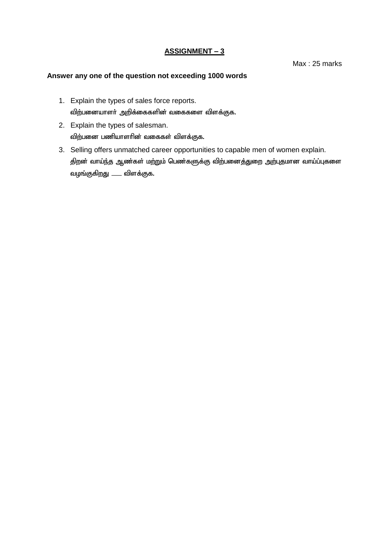Max : 25 marks

- 1. Explain the types of sales force reports. விற்பனையாளர் அறிக்கைகளின் வகைகளை விளக்குக.
- 2. Explain the types of salesman. விற்பனை பணியாளரின் வகைகள் விளக்குக.
- 3. Selling offers unmatched career opportunities to capable men of women explain. திறன் வாய்ந்த ஆண்கள் மற்றும் பெண்களுக்கு விற்பனைத்துறை அற்புதமான வாய்ப்புகளை வழங்குகிறது —— விளக்குக.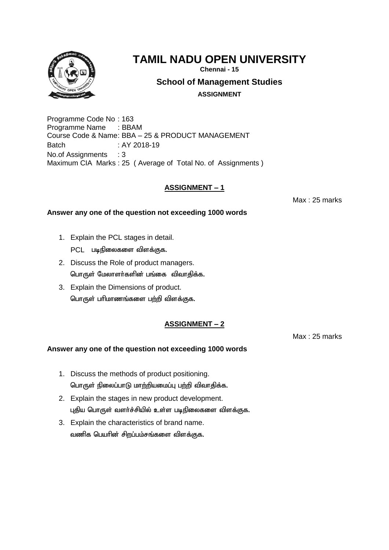

**Chennai - 15**

**School of Management Studies**

**ASSIGNMENT**

Programme Code No : 163 Programme Name : BBAM Course Code & Name: BBA – 25 & PRODUCT MANAGEMENT Batch : AY 2018-19 No.of Assignments : 3 Maximum CIA Marks : 25 ( Average of Total No. of Assignments )

## **ASSIGNMENT – 1**

Max : 25 marks

#### **Answer any one of the question not exceeding 1000 words**

- 1. Explain the PCL stages in detail. PCL படிநிலைகளை விளக்குக.
- 2. Discuss the Role of product managers. பொருள் மேலாளா்களின் பங்கை விவாகிக்க.
- 3. Explain the Dimensions of product. பொருள் பரிமாணங்களை பற்றி விளக்குக.

# **ASSIGNMENT – 2**

Max : 25 marks

- 1. Discuss the methods of product positioning. பொருள் நிலைப்பாடு மாற்றியமைப்பு பற்றி விவாதிக்க.
- 2. Explain the stages in new product development. புதிய பொருள் வளர்ச்சியில் உள்ள படிநிலைகளை விளக்குக.
- 3. Explain the characteristics of brand name. வணிக பெயரின் சிறப்பம்சங்களை விளக்குக.